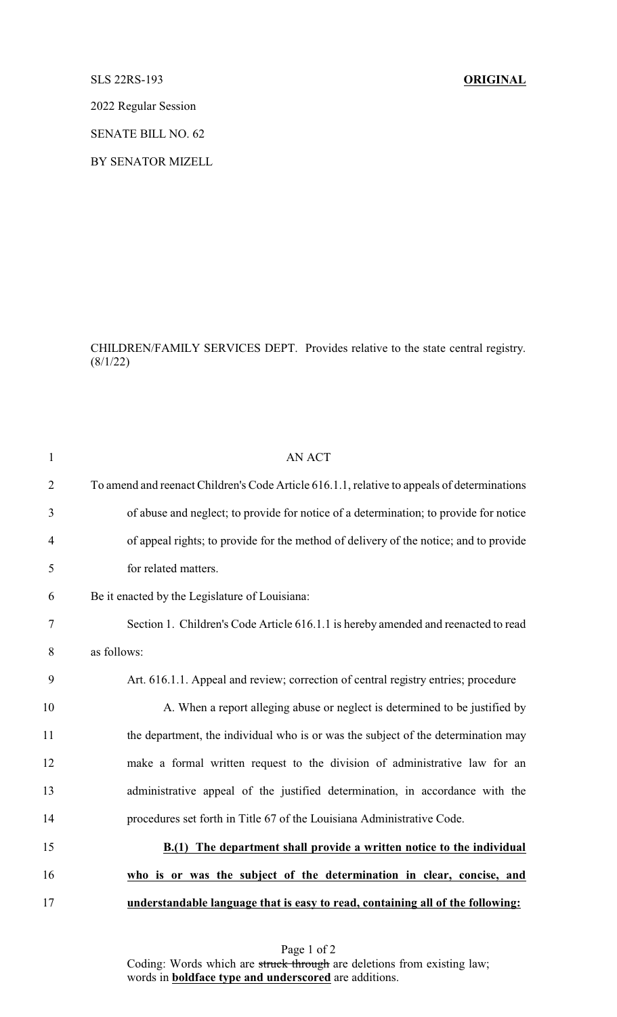## SLS 22RS-193 **ORIGINAL**

2022 Regular Session

SENATE BILL NO. 62

BY SENATOR MIZELL

CHILDREN/FAMILY SERVICES DEPT. Provides relative to the state central registry.  $(8/1/22)$ 

| $\mathbf{1}$   | <b>AN ACT</b>                                                                               |
|----------------|---------------------------------------------------------------------------------------------|
| $\overline{2}$ | To amend and reenact Children's Code Article 616.1.1, relative to appeals of determinations |
| 3              | of abuse and neglect; to provide for notice of a determination; to provide for notice       |
| $\overline{4}$ | of appeal rights; to provide for the method of delivery of the notice; and to provide       |
| 5              | for related matters.                                                                        |
| 6              | Be it enacted by the Legislature of Louisiana:                                              |
| 7              | Section 1. Children's Code Article 616.1.1 is hereby amended and reenacted to read          |
| 8              | as follows:                                                                                 |
| 9              | Art. 616.1.1. Appeal and review; correction of central registry entries; procedure          |
| 10             | A. When a report alleging abuse or neglect is determined to be justified by                 |
| 11             | the department, the individual who is or was the subject of the determination may           |
| 12             | make a formal written request to the division of administrative law for an                  |
| 13             | administrative appeal of the justified determination, in accordance with the                |
| 14             | procedures set forth in Title 67 of the Louisiana Administrative Code.                      |
| 15             | The department shall provide a written notice to the individual<br>B(1)                     |
| 16             | who is or was the subject of the determination in clear, concise, and                       |
| 17             | understandable language that is easy to read, containing all of the following:              |

Page 1 of 2 Coding: Words which are struck through are deletions from existing law; words in **boldface type and underscored** are additions.